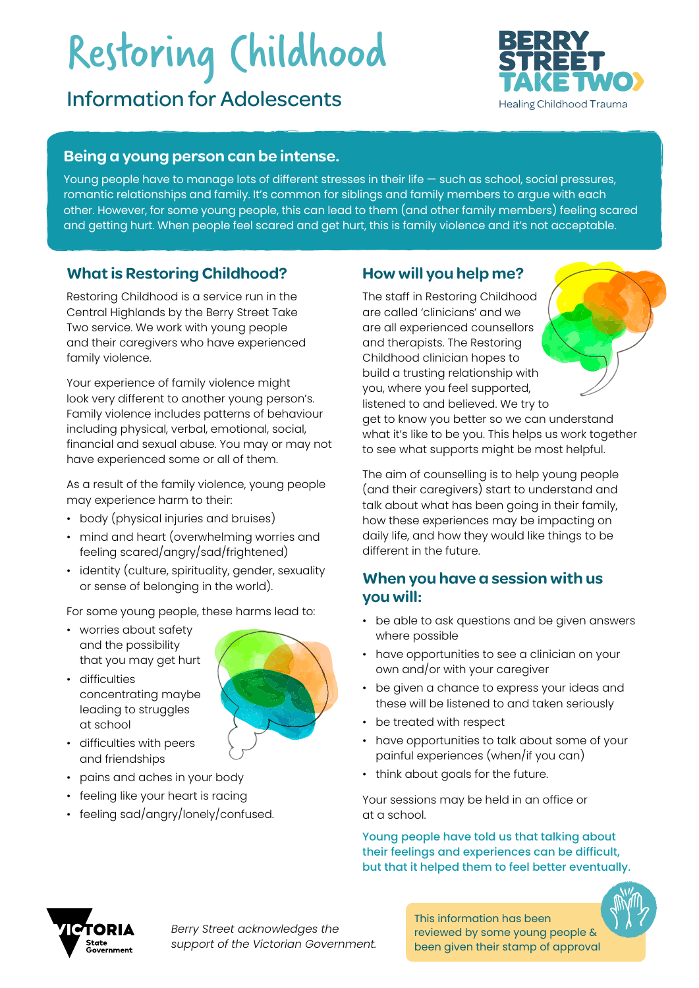# Restoring Childhood

# Information for Adolescents



#### **Being a young person can be intense.**

Young people have to manage lots of different stresses in their life — such as school, social pressures, romantic relationships and family. It's common for siblings and family members to argue with each other. However, for some young people, this can lead to them (and other family members) feeling scared and getting hurt. When people feel scared and get hurt, this is family violence and it's not acceptable.

#### **What is Restoring Childhood?**

Restoring Childhood is a service run in the Central Highlands by the Berry Street Take Two service. We work with young people and their caregivers who have experienced family violence.

Your experience of family violence might look very different to another young person's. Family violence includes patterns of behaviour including physical, verbal, emotional, social, financial and sexual abuse. You may or may not have experienced some or all of them.

As a result of the family violence, young people may experience harm to their:

- body (physical injuries and bruises)
- mind and heart (overwhelming worries and feeling scared/angry/sad/frightened)
- identity (culture, spirituality, gender, sexuality or sense of belonging in the world).

For some young people, these harms lead to:

- worries about safety and the possibility that you may get hurt
- difficulties concentrating maybe leading to struggles at school



- difficulties with peers and friendships
- pains and aches in your body
- feeling like your heart is racing
- feeling sad/angry/lonely/confused.

## **How will you help me?**

The staff in Restoring Childhood are called 'clinicians' and we are all experienced counsellors and therapists. The Restoring Childhood clinician hopes to build a trusting relationship with you, where you feel supported, listened to and believed. We try to get to know you better so we can understand what it's like to be you. This helps us work together to see what supports might be most helpful.

The aim of counselling is to help young people (and their caregivers) start to understand and talk about what has been going in their family, how these experiences may be impacting on daily life, and how they would like things to be different in the future.

## **When you have a session with us you will:**

- be able to ask questions and be given answers where possible
- have opportunities to see a clinician on your own and/or with your caregiver
- be given a chance to express your ideas and these will be listened to and taken seriously
- be treated with respect
- have opportunities to talk about some of your painful experiences (when/if you can)
- think about goals for the future.

Your sessions may be held in an office or at a school.

Young people have told us that talking about their feelings and experiences can be difficult, but that it helped them to feel better eventually.



This information has been reviewed by some young people & been given their stamp of approval